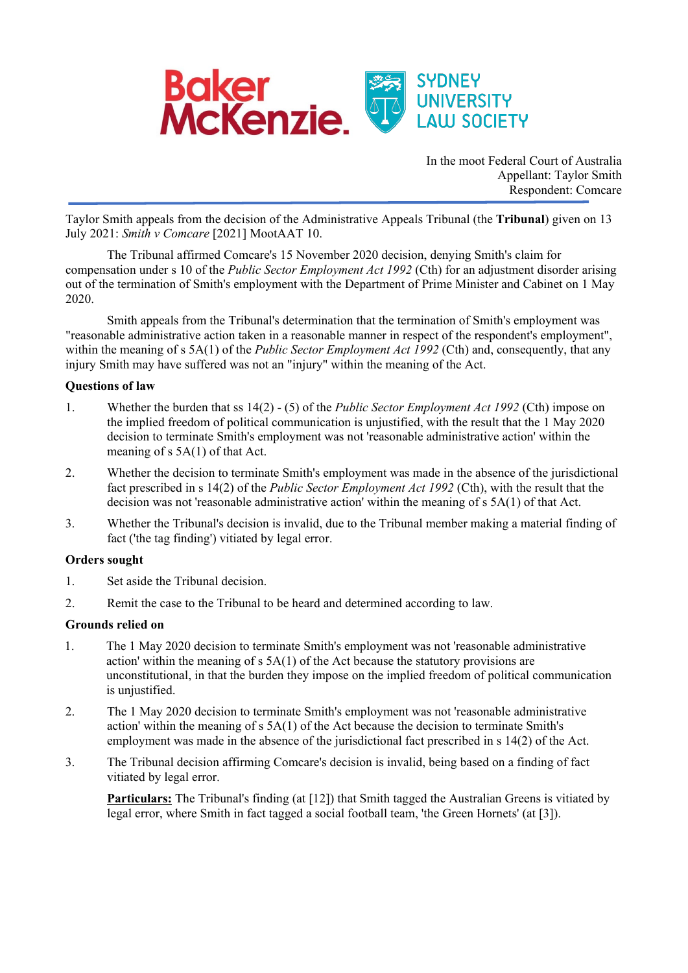

In the moot Federal Court of Australia Appellant: Taylor Smith Respondent: Comcare

Taylor Smith appeals from the decision of the Administrative Appeals Tribunal (the **Tribunal**) given on 13 July 2021: *Smith v Comcare* [2021] MootAAT 10.

The Tribunal affirmed Comcare's 15 November 2020 decision, denying Smith's claim for compensation under s 10 of the *Public Sector Employment Act 1992* (Cth) for an adjustment disorder arising out of the termination of Smith's employment with the Department of Prime Minister and Cabinet on 1 May 2020.

Smith appeals from the Tribunal's determination that the termination of Smith's employment was "reasonable administrative action taken in a reasonable manner in respect of the respondent's employment", within the meaning of s 5A(1) of the *Public Sector Employment Act 1992* (Cth) and, consequently, that any injury Smith may have suffered was not an "injury" within the meaning of the Act.

## **Questions of law**

- 1. Whether the burden that ss 14(2) (5) of the *Public Sector Employment Act 1992* (Cth) impose on the implied freedom of political communication is unjustified, with the result that the 1 May 2020 decision to terminate Smith's employment was not 'reasonable administrative action' within the meaning of s 5A(1) of that Act.
- 2. Whether the decision to terminate Smith's employment was made in the absence of the jurisdictional fact prescribed in s 14(2) of the *Public Sector Employment Act 1992* (Cth), with the result that the decision was not 'reasonable administrative action' within the meaning of s 5A(1) of that Act.
- 3. Whether the Tribunal's decision is invalid, due to the Tribunal member making a material finding of fact ('the tag finding') vitiated by legal error.

### **Orders sought**

- 1. Set aside the Tribunal decision.
- 2. Remit the case to the Tribunal to be heard and determined according to law.

### **Grounds relied on**

- 1. The 1 May 2020 decision to terminate Smith's employment was not 'reasonable administrative action' within the meaning of s 5A(1) of the Act because the statutory provisions are unconstitutional, in that the burden they impose on the implied freedom of political communication is unjustified.
- 2. The 1 May 2020 decision to terminate Smith's employment was not 'reasonable administrative action' within the meaning of s 5A(1) of the Act because the decision to terminate Smith's employment was made in the absence of the jurisdictional fact prescribed in s 14(2) of the Act.
- 3. The Tribunal decision affirming Comcare's decision is invalid, being based on a finding of fact vitiated by legal error.

**Particulars:** The Tribunal's finding (at [12]) that Smith tagged the Australian Greens is vitiated by legal error, where Smith in fact tagged a social football team, 'the Green Hornets' (at [3]).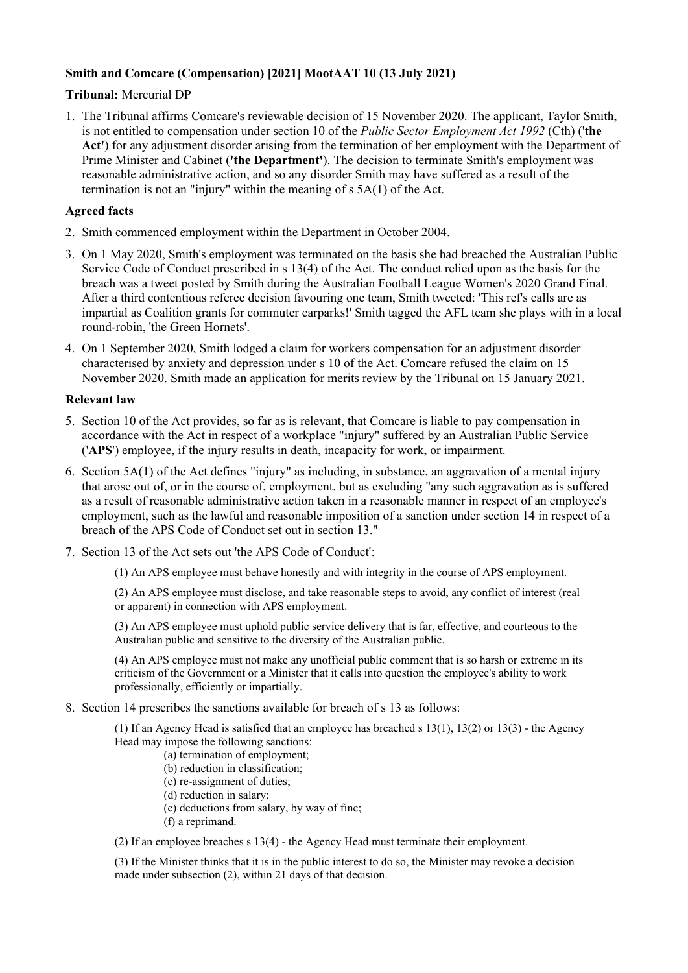# **Smith and Comcare (Compensation) [2021] MootAAT 10 (13 July 2021)**

**Tribunal:** Mercurial DP

1. The Tribunal affirms Comcare's reviewable decision of 15 November 2020. The applicant, Taylor Smith, is not entitled to compensation under section 10 of the *Public Sector Employment Act 1992* (Cth) ('**the Act'**) for any adjustment disorder arising from the termination of her employment with the Department of Prime Minister and Cabinet (**'the Department'**). The decision to terminate Smith's employment was reasonable administrative action, and so any disorder Smith may have suffered as a result of the termination is not an "injury" within the meaning of s 5A(1) of the Act.

### **Agreed facts**

- 2. Smith commenced employment within the Department in October 2004.
- 3. On 1 May 2020, Smith's employment was terminated on the basis she had breached the Australian Public Service Code of Conduct prescribed in s 13(4) of the Act. The conduct relied upon as the basis for the breach was a tweet posted by Smith during the Australian Football League Women's 2020 Grand Final. After a third contentious referee decision favouring one team, Smith tweeted: 'This ref's calls are as impartial as Coalition grants for commuter carparks!' Smith tagged the AFL team she plays with in a local round-robin, 'the Green Hornets'.
- 4. On 1 September 2020, Smith lodged a claim for workers compensation for an adjustment disorder characterised by anxiety and depression under s 10 of the Act. Comcare refused the claim on 15 November 2020. Smith made an application for merits review by the Tribunal on 15 January 2021.

### **Relevant law**

- 5. Section 10 of the Act provides, so far as is relevant, that Comcare is liable to pay compensation in accordance with the Act in respect of a workplace "injury" suffered by an Australian Public Service ('**APS**') employee, if the injury results in death, incapacity for work, or impairment.
- 6. Section 5A(1) of the Act defines "injury" as including, in substance, an aggravation of a mental injury that arose out of, or in the course of, employment, but as excluding "any such aggravation as is suffered as a result of reasonable administrative action taken in a reasonable manner in respect of an employee's employment, such as the lawful and reasonable imposition of a sanction under section 14 in respect of a breach of the APS Code of Conduct set out in section 13."
- 7. Section 13 of the Act sets out 'the APS Code of Conduct':

(1) An APS employee must behave honestly and with integrity in the course of APS employment.

(2) An APS employee must disclose, and take reasonable steps to avoid, any conflict of interest (real or apparent) in connection with APS employment.

(3) An APS employee must uphold public service delivery that is far, effective, and courteous to the Australian public and sensitive to the diversity of the Australian public.

(4) An APS employee must not make any unofficial public comment that is so harsh or extreme in its criticism of the Government or a Minister that it calls into question the employee's ability to work professionally, efficiently or impartially.

8. Section 14 prescribes the sanctions available for breach of s 13 as follows:

(1) If an Agency Head is satisfied that an employee has breached s 13(1), 13(2) or 13(3) - the Agency Head may impose the following sanctions:

(a) termination of employment;

(b) reduction in classification;

(c) re-assignment of duties;

- (d) reduction in salary;
- (e) deductions from salary, by way of fine;
- (f) a reprimand.

(2) If an employee breaches s 13(4) - the Agency Head must terminate their employment.

(3) If the Minister thinks that it is in the public interest to do so, the Minister may revoke a decision made under subsection (2), within 21 days of that decision.